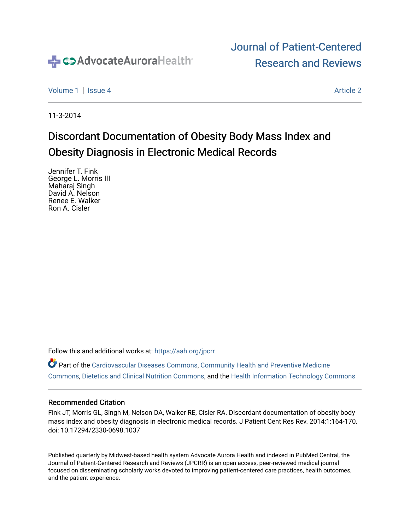

# [Journal of Patient-Centered](https://institutionalrepository.aah.org/jpcrr)  [Research and Reviews](https://institutionalrepository.aah.org/jpcrr)

[Volume 1](https://institutionalrepository.aah.org/jpcrr/vol1) | [Issue 4](https://institutionalrepository.aah.org/jpcrr/vol1/iss4) [Article 2](https://institutionalrepository.aah.org/jpcrr/vol1/iss4/2) Article 2 Article 2 Article 2 Article 2 Article 2 Article 2 Article 2 Article 2 Article 2 Article 2 Article 2 Article 2 Article 2 Article 2 Article 2 Article 2 Article 2 Article 2 Article 2 Art

11-3-2014

# Discordant Documentation of Obesity Body Mass Index and Obesity Diagnosis in Electronic Medical Records

Jennifer T. Fink George L. Morris III Maharaj Singh David A. Nelson Renee E. Walker Ron A. Cisler

Follow this and additional works at: [https://aah.org/jpcrr](https://institutionalrepository.aah.org/jpcrr?utm_source=institutionalrepository.aah.org%2Fjpcrr%2Fvol1%2Fiss4%2F2&utm_medium=PDF&utm_campaign=PDFCoverPages) 

Part of the [Cardiovascular Diseases Commons](http://network.bepress.com/hgg/discipline/929?utm_source=institutionalrepository.aah.org%2Fjpcrr%2Fvol1%2Fiss4%2F2&utm_medium=PDF&utm_campaign=PDFCoverPages), [Community Health and Preventive Medicine](http://network.bepress.com/hgg/discipline/744?utm_source=institutionalrepository.aah.org%2Fjpcrr%2Fvol1%2Fiss4%2F2&utm_medium=PDF&utm_campaign=PDFCoverPages) [Commons](http://network.bepress.com/hgg/discipline/744?utm_source=institutionalrepository.aah.org%2Fjpcrr%2Fvol1%2Fiss4%2F2&utm_medium=PDF&utm_campaign=PDFCoverPages), [Dietetics and Clinical Nutrition Commons](http://network.bepress.com/hgg/discipline/662?utm_source=institutionalrepository.aah.org%2Fjpcrr%2Fvol1%2Fiss4%2F2&utm_medium=PDF&utm_campaign=PDFCoverPages), and the [Health Information Technology Commons](http://network.bepress.com/hgg/discipline/1239?utm_source=institutionalrepository.aah.org%2Fjpcrr%2Fvol1%2Fiss4%2F2&utm_medium=PDF&utm_campaign=PDFCoverPages) 

#### Recommended Citation

Fink JT, Morris GL, Singh M, Nelson DA, Walker RE, Cisler RA. Discordant documentation of obesity body mass index and obesity diagnosis in electronic medical records. J Patient Cent Res Rev. 2014;1:164-170. doi: 10.17294/2330-0698.1037

Published quarterly by Midwest-based health system Advocate Aurora Health and indexed in PubMed Central, the Journal of Patient-Centered Research and Reviews (JPCRR) is an open access, peer-reviewed medical journal focused on disseminating scholarly works devoted to improving patient-centered care practices, health outcomes, and the patient experience.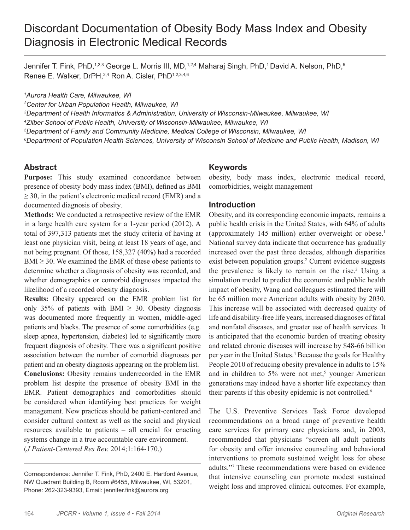# Discordant Documentation of Obesity Body Mass Index and Obesity Diagnosis in Electronic Medical Records

Jennifer T. Fink, PhD,<sup>1,2,3</sup> George L. Morris III, MD,<sup>1,2,4</sup> Maharaj Singh, PhD,<sup>1</sup> David A. Nelson, PhD,<sup>5</sup> Renee E. Walker, DrPH, <sup>2,4</sup> Ron A. Cisler, PhD<sup>1,2,3,4,6</sup>

*1 Aurora Health Care, Milwaukee, WI*

*2 Center for Urban Population Health, Milwaukee, WI*

*3 Department of Health Informatics & Administration, University of Wisconsin-Milwaukee, Milwaukee, WI 4 Zilber School of Public Health, University of Wisconsin-Milwaukee, Milwaukee, WI*

*5 Department of Family and Community Medicine, Medical College of Wisconsin, Milwaukee, WI*

*6 Department of Population Health Sciences, University of Wisconsin School of Medicine and Public Health, Madison, WI*

### **Abstract**

**Purpose:** This study examined concordance between presence of obesity body mass index (BMI), defined as BMI  $\geq$  30, in the patient's electronic medical record (EMR) and a documented diagnosis of obesity.

**Methods:** We conducted a retrospective review of the EMR in a large health care system for a 1-year period (2012). A total of 397,313 patients met the study criteria of having at least one physician visit, being at least 18 years of age, and not being pregnant. Of those, 158,327 (40%) had a recorded  $BMI \geq 30$ . We examined the EMR of these obese patients to determine whether a diagnosis of obesity was recorded, and whether demographics or comorbid diagnoses impacted the likelihood of a recorded obesity diagnosis.

**Results:** Obesity appeared on the EMR problem list for only 35% of patients with BMI  $\geq$  30. Obesity diagnosis was documented more frequently in women, middle-aged patients and blacks. The presence of some comorbidities (e.g. sleep apnea, hypertension, diabetes) led to significantly more frequent diagnosis of obesity. There was a significant positive association between the number of comorbid diagnoses per patient and an obesity diagnosis appearing on the problem list. **Conclusions:** Obesity remains underrecorded in the EMR problem list despite the presence of obesity BMI in the EMR. Patient demographics and comorbidities should be considered when identifying best practices for weight management. New practices should be patient-centered and consider cultural context as well as the social and physical resources available to patients – all crucial for enacting systems change in a true accountable care environment. (*J Patient-Centered Res Rev.* 2014;1:164-170.)

### **Keywords**

obesity, body mass index, electronic medical record, comorbidities, weight management

#### **Introduction**

Obesity, and its corresponding economic impacts, remains a public health crisis in the United States, with 64% of adults (approximately 145 million) either overweight or obese.1 National survey data indicate that occurrence has gradually increased over the past three decades, although disparities exist between population groups.<sup>2</sup> Current evidence suggests the prevalence is likely to remain on the rise.<sup>3</sup> Using a simulation model to predict the economic and public health impact of obesity, Wang and colleagues estimated there will be 65 million more American adults with obesity by 2030. This increase will be associated with decreased quality of life and disability-free life years, increased diagnoses of fatal and nonfatal diseases, and greater use of health services. It is anticipated that the economic burden of treating obesity and related chronic diseases will increase by \$48-66 billion per year in the United States.<sup>4</sup> Because the goals for Healthy People 2010 of reducing obesity prevalence in adults to 15% and in children to  $5\%$  were not met,<sup>5</sup> younger American generations may indeed have a shorter life expectancy than their parents if this obesity epidemic is not controlled.<sup>6</sup>

The U.S. Preventive Services Task Force developed recommendations on a broad range of preventive health care services for primary care physicians and, in 2003, recommended that physicians "screen all adult patients for obesity and offer intensive counseling and behavioral interventions to promote sustained weight loss for obese adults."7 These recommendations were based on evidence that intensive counseling can promote modest sustained weight loss and improved clinical outcomes. For example,

Correspondence: Jennifer T. Fink, PhD, 2400 E. Hartford Avenue, NW Quadrant Building B, Room #6455, Milwaukee, WI, 53201, Phone: 262-323-9393, Email: jennifer.fink@aurora.org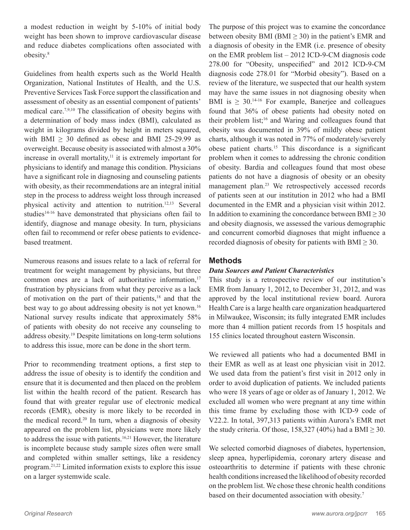a modest reduction in weight by 5-10% of initial body weight has been shown to improve cardiovascular disease and reduce diabetes complications often associated with obesity.<sup>8</sup>

Guidelines from health experts such as the World Health Organization, National Institutes of Health, and the U.S. Preventive Services Task Force support the classification and assessment of obesity as an essential component of patients' medical care.7,9,10 The classification of obesity begins with a determination of body mass index (BMI), calculated as weight in kilograms divided by height in meters squared, with BMI  $\geq$  30 defined as obese and BMI 25-29.99 as overweight. Because obesity is associated with almost a 30% increase in overall mortality, $11$  it is extremely important for physicians to identify and manage this condition. Physicians have a significant role in diagnosing and counseling patients with obesity, as their recommendations are an integral initial step in the process to address weight loss through increased physical activity and attention to nutrition.12,13 Several studies<sup>14-16</sup> have demonstrated that physicians often fail to identify, diagnose and manage obesity. In turn, physicians often fail to recommend or refer obese patients to evidencebased treatment.

Numerous reasons and issues relate to a lack of referral for treatment for weight management by physicians, but three common ones are a lack of authoritative information,<sup>17</sup> frustration by physicians from what they perceive as a lack of motivation on the part of their patients,<sup>18</sup> and that the best way to go about addressing obesity is not yet known.<sup>16</sup> National survey results indicate that approximately 58% of patients with obesity do not receive any counseling to address obesity.19 Despite limitations on long-term solutions to address this issue, more can be done in the short term.

Prior to recommending treatment options, a first step to address the issue of obesity is to identify the condition and ensure that it is documented and then placed on the problem list within the health record of the patient. Research has found that with greater regular use of electronic medical records (EMR), obesity is more likely to be recorded in the medical record.<sup>20</sup> In turn, when a diagnosis of obesity appeared on the problem list, physicians were more likely to address the issue with patients.<sup>16,21</sup> However, the literature is incomplete because study sample sizes often were small and completed within smaller settings, like a residency program.21,22 Limited information exists to explore this issue on a larger systemwide scale.

The purpose of this project was to examine the concordance between obesity BMI (BMI  $\geq$  30) in the patient's EMR and a diagnosis of obesity in the EMR (i.e. presence of obesity on the EMR problem list – 2012 ICD-9-CM diagnosis code 278.00 for "Obesity, unspecified" and 2012 ICD-9-CM diagnosis code 278.01 for "Morbid obesity"). Based on a review of the literature, we suspected that our health system may have the same issues in not diagnosing obesity when BMI is  $\geq 30$ .<sup>14-16</sup> For example, Banerjee and colleagues found that 36% of obese patients had obesity noted on their problem list;16 and Waring and colleagues found that obesity was documented in 39% of mildly obese patient charts, although it was noted in 77% of moderately/severely obese patient charts.15 This discordance is a significant problem when it comes to addressing the chronic condition of obesity. Bardia and colleagues found that most obese patients do not have a diagnosis of obesity or an obesity management plan.<sup>23</sup> We retrospectively accessed records of patients seen at our institution in 2012 who had a BMI documented in the EMR and a physician visit within 2012. In addition to examining the concordance between  $\text{BMI} \geq 30$ and obesity diagnosis, we assessed the various demographic and concurrent comorbid diagnoses that might influence a recorded diagnosis of obesity for patients with  $BMI \geq 30$ .

# **Methods**

# *Data Sources and Patient Characteristics*

This study is a retrospective review of our institution's EMR from January 1, 2012, to December 31, 2012, and was approved by the local institutional review board. Aurora Health Care is a large health care organization headquartered in Milwaukee, Wisconsin; its fully integrated EMR includes more than 4 million patient records from 15 hospitals and 155 clinics located throughout eastern Wisconsin.

We reviewed all patients who had a documented BMI in their EMR as well as at least one physician visit in 2012. We used data from the patient's first visit in 2012 only in order to avoid duplication of patients. We included patients who were 18 years of age or older as of January 1, 2012. We excluded all women who were pregnant at any time within this time frame by excluding those with ICD-9 code of V22.2. In total, 397,313 patients within Aurora's EMR met the study criteria. Of those, 158,327 (40%) had a BMI  $\geq$  30.

We selected comorbid diagnoses of diabetes, hypertension, sleep apnea, hyperlipidemia, coronary artery disease and osteoarthritis to determine if patients with these chronic health conditions increased the likelihood of obesity recorded on the problem list. We chose these chronic health conditions based on their documented association with obesity.<sup>7</sup>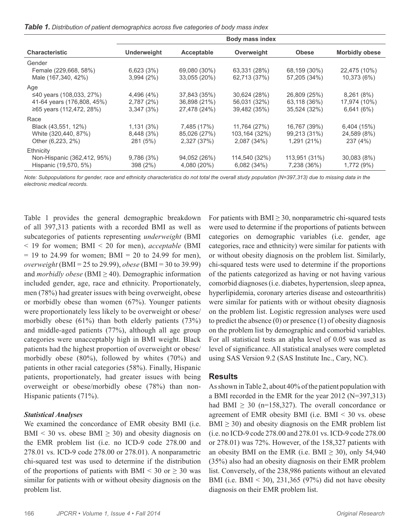|  |  |  |  | <b>Table 1.</b> Distribution of patient demographics across five categories of body mass index |  |  |  |  |
|--|--|--|--|------------------------------------------------------------------------------------------------|--|--|--|--|
|--|--|--|--|------------------------------------------------------------------------------------------------|--|--|--|--|

| <b>Body mass index</b> |              |               |               |                       |  |  |
|------------------------|--------------|---------------|---------------|-----------------------|--|--|
| Underweight            | Acceptable   | Overweight    | <b>Obese</b>  | <b>Morbidly obese</b> |  |  |
|                        |              |               |               |                       |  |  |
| 6,623(3%)              | 69,080 (30%) | 63,331 (28%)  | 68,159 (30%)  | 22,475 (10%)          |  |  |
| 3,994(2%)              | 33,055 (20%) | 62,713 (37%)  | 57,205 (34%)  | 10,373 (6%)           |  |  |
|                        |              |               |               |                       |  |  |
| 4,496 (4%)             | 37,843 (35%) | 30,624 (28%)  | 26,809 (25%)  | 8,261(8%)             |  |  |
| 2,787(2%)              | 36,898 (21%) | 56,031 (32%)  | 63,118 (36%)  | 17,974 (10%)          |  |  |
| 3,347(3%)              | 27,478 (24%) | 39,482 (35%)  | 35,524 (32%)  | 6,641(6%)             |  |  |
|                        |              |               |               |                       |  |  |
| 1,131(3%)              | 7,485 (17%)  | 11,764 (27%)  | 16,767 (39%)  | 6,404(15%)            |  |  |
| 8,448 (3%)             | 85,026 (27%) | 103,164 (32%) | 99,213 (31%)  | 24,589 (8%)           |  |  |
| 281 (5%)               | 2,327 (37%)  | 2,087 (34%)   | 1,291 (21%)   | 237 (4%)              |  |  |
|                        |              |               |               |                       |  |  |
| 9,786(3%)              | 94,052 (26%) | 114,540 (32%) | 113,951 (31%) | 30,083 (8%)           |  |  |
| 398 (2%)               | 4,080 (20%)  | 6,082(34%)    | 7,238 (36%)   | 1,772 (9%)            |  |  |
|                        |              |               |               |                       |  |  |

*Note: Subpopulations for gender, race and ethnicity characteristics do not total the overall study population (N=397,313) due to missing data in the electronic medical records.*

Table 1 provides the general demographic breakdown of all 397,313 patients with a recorded BMI as well as subcategories of patients representing *underweight* (BMI < 19 for women; BMI < 20 for men), *acceptable* (BMI  $= 19$  to 24.99 for women; BMI  $= 20$  to 24.99 for men), *overweight* (BMI = 25 to 29.99), *obese* (BMI = 30 to 39.99) and *morbidly obese* (BMI  $\geq$  40). Demographic information included gender, age, race and ethnicity. Proportionately, men (78%) had greater issues with being overweight, obese or morbidly obese than women (67%). Younger patients were proportionately less likely to be overweight or obese/ morbidly obese (61%) than both elderly patients (73%) and middle-aged patients (77%), although all age group categories were unacceptably high in BMI weight. Black patients had the highest proportion of overweight or obese/ morbidly obese (80%), followed by whites (70%) and patients in other racial categories (58%). Finally, Hispanic patients, proportionately, had greater issues with being overweight or obese/morbidly obese (78%) than non-Hispanic patients (71%).

#### *Statistical Analyses*

We examined the concordance of EMR obesity BMI (i.e. BMI < 30 vs. obese BMI  $\geq$  30) and obesity diagnosis on the EMR problem list (i.e. no ICD-9 code 278.00 and 278.01 vs. ICD-9 code 278.00 or 278.01). A nonparametric chi-squared test was used to determine if the distribution of the proportions of patients with BMI < 30 or  $\geq$  30 was similar for patients with or without obesity diagnosis on the problem list.

For patients with  $\text{BMI} \geq 30$ , nonparametric chi-squared tests were used to determine if the proportions of patients between categories on demographic variables (i.e. gender, age categories, race and ethnicity) were similar for patients with or without obesity diagnosis on the problem list. Similarly, chi-squared tests were used to determine if the proportions of the patients categorized as having or not having various comorbid diagnoses (i.e. diabetes, hypertension, sleep apnea, hyperlipidemia, coronary arteries disease and osteoarthritis) were similar for patients with or without obesity diagnosis on the problem list. Logistic regression analyses were used to predict the absence (0) or presence (1) of obesity diagnosis on the problem list by demographic and comorbid variables. For all statistical tests an alpha level of 0.05 was used as level of significance. All statistical analyses were completed using SAS Version 9.2 (SAS Institute Inc., Cary, NC).

#### **Results**

As shown in Table 2, about 40% of the patient population with a BMI recorded in the EMR for the year 2012 (N=397,313) had BMI  $\geq$  30 (n=158,327). The overall concordance or agreement of EMR obesity BMI (i.e. BMI < 30 vs. obese  $BMI \geq 30$ ) and obesity diagnosis on the EMR problem list (i.e. no ICD-9 code 278.00 and 278.01 vs. ICD-9 code 278.00 or 278.01) was 72%. However, of the 158,327 patients with an obesity BMI on the EMR (i.e. BMI  $\geq$  30), only 54,940 (35%) also had an obesity diagnosis on their EMR problem list. Conversely, of the 238,986 patients without an elevated BMI (i.e. BMI  $\leq$  30), 231,365 (97%) did not have obesity diagnosis on their EMR problem list.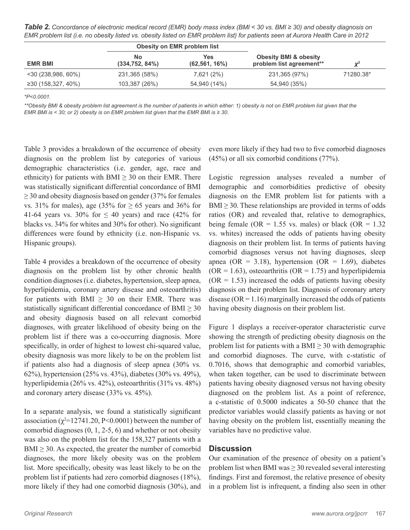*Table 2. Concordance of electronic medical record (EMR) body mass index (BMI < 30 vs. BMI ≥ 30) and obesity diagnosis on EMR problem list (i.e. no obesity listed vs. obesity listed on EMR problem list) for patients seen at Aurora Health Care in 2012*

|                       |                        | Obesity on EMR problem list |               |           |  |
|-----------------------|------------------------|-----------------------------|---------------|-----------|--|
| <b>EMR BMI</b>        | No.<br>(334, 752, 84%) | Yes<br>$(62, 561, 16\%)$    |               | $V^2$     |  |
| $<$ 30 (238,986, 60%) | 231,365 (58%)          | 7,621 (2%)                  | 231,365 (97%) | 71280.38* |  |
| ≥30 (158,327, 40%)    | 103,387 (26%)          | 54,940 (14%)                | 54,940 (35%)  |           |  |

*\*P<0.0001.*

\*\*Obesity BMI & obesity problem list agreement is the number of patients in which either: 1) obesity is not on EMR problem list given that the *EMR BMI is < 30; or 2) obesity is on EMR problem list given that the EMR BMI is ≥ 30.*

Table 3 provides a breakdown of the occurrence of obesity diagnosis on the problem list by categories of various demographic characteristics (i.e. gender, age, race and ethnicity) for patients with BMI  $\geq$  30 on their EMR. There was statistically significant differential concordance of BMI  $\geq$  30 and obesity diagnosis based on gender (37% for females vs. 31% for males), age (35% for  $\geq$  65 years and 36% for 41-64 years vs. 30% for  $\leq$  40 years) and race (42% for blacks vs. 34% for whites and 30% for other). No significant differences were found by ethnicity (i.e. non-Hispanic vs. Hispanic groups).

Table 4 provides a breakdown of the occurrence of obesity diagnosis on the problem list by other chronic health condition diagnoses (i.e. diabetes, hypertension, sleep apnea, hyperlipidemia, coronary artery disease and osteoarthritis) for patients with BMI  $\geq$  30 on their EMR. There was statistically significant differential concordance of  $BMI \geq 30$ and obesity diagnosis based on all relevant comorbid diagnoses, with greater likelihood of obesity being on the problem list if there was a co-occurring diagnosis. More specifically, in order of highest to lowest chi-squared value, obesity diagnosis was more likely to be on the problem list if patients also had a diagnosis of sleep apnea (30% vs. 62%), hypertension (25% vs. 43%), diabetes (30% vs. 49%), hyperlipidemia (26% vs. 42%), osteoarthritis (31% vs. 48%) and coronary artery disease (33% vs. 45%).

In a separate analysis, we found a statistically significant association ( $\chi^2$ =12741.20, P<0.0001) between the number of comorbid diagnoses (0, 1, 2-5, 6) and whether or not obesity was also on the problem list for the 158,327 patients with a  $BMI \geq 30$ . As expected, the greater the number of comorbid diagnoses, the more likely obesity was on the problem list. More specifically, obesity was least likely to be on the problem list if patients had zero comorbid diagnoses (18%), more likely if they had one comorbid diagnosis (30%), and

even more likely if they had two to five comorbid diagnoses (45%) or all six comorbid conditions (77%).

Logistic regression analyses revealed a number of demographic and comorbidities predictive of obesity diagnosis on the EMR problem list for patients with a  $BMI \geq 30$ . These relationships are provided in terms of odds ratios (OR) and revealed that, relative to demographics, being female (OR = 1.55 vs. males) or black (OR = 1.32 vs. whites) increased the odds of patients having obesity diagnosis on their problem list. In terms of patients having comorbid diagnoses versus not having diagnoses, sleep apnea (OR = 3.18), hypertension (OR = 1.69), diabetes  $(OR = 1.63)$ , osteoarthritis  $(OR = 1.75)$  and hyperlipidemia  $(OR = 1.53)$  increased the odds of patients having obesity diagnosis on their problem list. Diagnosis of coronary artery disease ( $OR = 1.16$ ) marginally increased the odds of patients having obesity diagnosis on their problem list.

Figure 1 displays a receiver-operator characteristic curve showing the strength of predicting obesity diagnosis on the problem list for patients with a BMI  $\geq$  30 with demographic and comorbid diagnoses. The curve, with c-statistic of 0.7016, shows that demographic and comorbid variables, when taken together, can be used to discriminate between patients having obesity diagnosed versus not having obesity diagnosed on the problem list. As a point of reference, a c-statistic of 0.5000 indicates a 50-50 chance that the predictor variables would classify patients as having or not having obesity on the problem list, essentially meaning the variables have no predictive value.

# **Discussion**

Our examination of the presence of obesity on a patient's problem list when BMI was  $\geq$  30 revealed several interesting findings. First and foremost, the relative presence of obesity in a problem list is infrequent, a finding also seen in other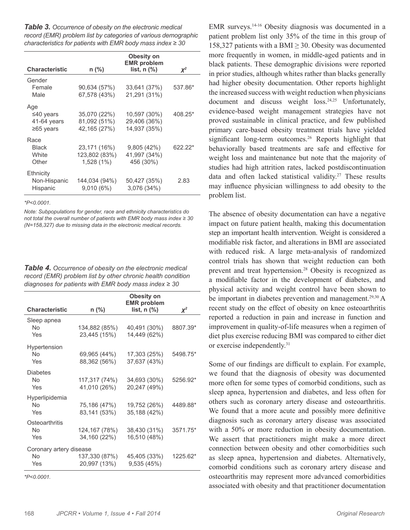*Table 3. Occurrence of obesity on the electronic medical record (EMR) problem list by categories of various demographic characteristics for patients with EMR body mass index ≥ 30*

|                       |               | Obesity on<br><b>EMR</b> problem |          |
|-----------------------|---------------|----------------------------------|----------|
| <b>Characteristic</b> | n (%)         | list, $n$ $\frac{9}{6}$          | $\chi^2$ |
| Gender                |               |                                  |          |
| Female                | 90,634 (57%)  | 33,641 (37%)                     | 537.86*  |
| Male                  | 67,578 (43%)  | 21,291 (31%)                     |          |
| Age                   |               |                                  |          |
| ≤40 years             | 35,070 (22%)  | 10,597 (30%)                     | 408.25*  |
| 41-64 years           | 81,092 (51%)  | 29,406 (36%)                     |          |
| $≥65$ years           | 42,165 (27%)  | 14,937 (35%)                     |          |
| Race                  |               |                                  |          |
| <b>Black</b>          | 23,171 (16%)  | 9,805(42%)                       | 622.22*  |
| White                 | 123,802 (83%) | 41,997 (34%)                     |          |
| Other                 | $1,528(1\%)$  | 456 (30%)                        |          |
| Ethnicity             |               |                                  |          |
| Non-Hispanic          | 144,034 (94%) | 50,427 (35%)                     | 2.83     |
| Hispanic              | 9,010(6%)     | 3,076 (34%)                      |          |
|                       |               |                                  |          |

*\*P<0.0001.*

*Note: Subpopulations for gender, race and ethnicity characteristics do not total the overall number of patients with EMR body mass index ≥ 30 (N=158,327) due to missing data in the electronic medical records.*

*Table 4. Occurrence of obesity on the electronic medical record (EMR) problem list by other chronic health condition diagnoses for patients with EMR body mass index ≥ 30*

|                         |                | Obesity on<br><b>EMR</b> problem |          |  |  |
|-------------------------|----------------|----------------------------------|----------|--|--|
| <b>Characteristic</b>   | n (%)          | list, $n$ $%$                    | $\chi^2$ |  |  |
| Sleep apnea             |                |                                  |          |  |  |
| <b>No</b>               | 134,882 (85%)  | 40,491 (30%)                     | 8807.39* |  |  |
| Yes                     | 23,445 (15%)   | 14,449 (62%)                     |          |  |  |
| Hypertension            |                |                                  |          |  |  |
| No                      | 69,965 (44%)   | 17,303 (25%)                     | 5498.75* |  |  |
| Yes                     | 88,362 (56%)   | 37,637 (43%)                     |          |  |  |
| <b>Diabetes</b>         |                |                                  |          |  |  |
| No                      | 117,317 (74%)  | 34,693 (30%)                     | 5256.92* |  |  |
| Yes                     | 41,010 (26%)   | 20,247 (49%)                     |          |  |  |
| Hyperlipidemia          |                |                                  |          |  |  |
| No                      | 75,186 (47%)   | 19,752 (26%)                     | 4489.88* |  |  |
| Yes                     | 83,141 (53%)   | 35,188 (42%)                     |          |  |  |
| Osteoarthritis          |                |                                  |          |  |  |
| No                      | 124, 167 (78%) | 38,430 (31%)                     | 3571.75* |  |  |
| Yes                     | 34,160 (22%)   | 16,510 (48%)                     |          |  |  |
| Coronary artery disease |                |                                  |          |  |  |
| No                      | 137,330 (87%)  | 45,405 (33%)                     | 1225.62* |  |  |
| Yes                     | 20,997 (13%)   | 9,535(45%)                       |          |  |  |

*\*P<0.0001.*

EMR surveys.14-16 Obesity diagnosis was documented in a patient problem list only 35% of the time in this group of 158,327 patients with a BMI  $\geq$  30. Obesity was documented more frequently in women, in middle-aged patients and in black patients. These demographic divisions were reported in prior studies, although whites rather than blacks generally had higher obesity documentation. Other reports highlight the increased success with weight reduction when physicians document and discuss weight loss.<sup>24,25</sup> Unfortunately, evidence-based weight management strategies have not proved sustainable in clinical practice, and few published primary care-based obesity treatment trials have yielded significant long-term outcomes.<sup>26</sup> Reports highlight that behaviorally based treatments are safe and effective for weight loss and maintenance but note that the majority of studies had high attrition rates, lacked postdiscontinuation data and often lacked statistical validity.<sup>27</sup> These results may influence physician willingness to add obesity to the problem list.

The absence of obesity documentation can have a negative impact on future patient health, making this documentation step an important health intervention. Weight is considered a modifiable risk factor, and alterations in BMI are associated with reduced risk. A large meta-analysis of randomized control trials has shown that weight reduction can both prevent and treat hypertension.<sup>28</sup> Obesity is recognized as a modifiable factor in the development of diabetes, and physical activity and weight control have been shown to be important in diabetes prevention and management.<sup>29,30</sup> A recent study on the effect of obesity on knee osteoarthritis reported a reduction in pain and increase in function and improvement in quality-of-life measures when a regimen of diet plus exercise reducing BMI was compared to either diet or exercise independently.31

Some of our findings are difficult to explain. For example, we found that the diagnosis of obesity was documented more often for some types of comorbid conditions, such as sleep apnea, hypertension and diabetes, and less often for others such as coronary artery disease and osteoarthritis. We found that a more acute and possibly more definitive diagnosis such as coronary artery disease was associated with a 50% or more reduction in obesity documentation. We assert that practitioners might make a more direct connection between obesity and other comorbidities such as sleep apnea, hypertension and diabetes. Alternatively, comorbid conditions such as coronary artery disease and osteoarthritis may represent more advanced comorbidities associated with obesity and that practitioner documentation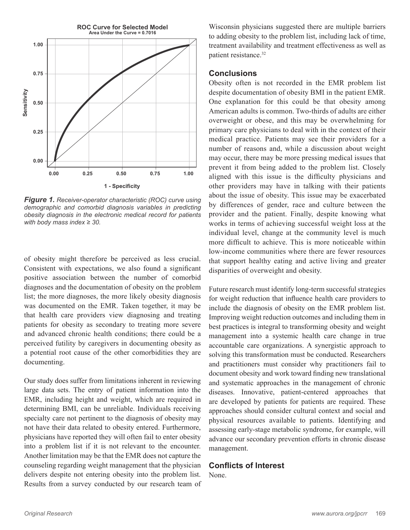

*Figure 1. Receiver-operator characteristic (ROC) curve using demographic and comorbid diagnosis variables in predicting obesity diagnosis in the electronic medical record for patients with body mass index ≥ 30.*

of obesity might therefore be perceived as less crucial. Consistent with expectations, we also found a significant positive association between the number of comorbid diagnoses and the documentation of obesity on the problem list; the more diagnoses, the more likely obesity diagnosis was documented on the EMR. Taken together, it may be that health care providers view diagnosing and treating patients for obesity as secondary to treating more severe and advanced chronic health conditions; there could be a perceived futility by caregivers in documenting obesity as a potential root cause of the other comorbidities they are documenting.

Our study does suffer from limitations inherent in reviewing large data sets. The entry of patient information into the EMR, including height and weight, which are required in determining BMI, can be unreliable. Individuals receiving specialty care not pertinent to the diagnosis of obesity may not have their data related to obesity entered. Furthermore, physicians have reported they will often fail to enter obesity into a problem list if it is not relevant to the encounter. Another limitation may be that the EMR does not capture the counseling regarding weight management that the physician delivers despite not entering obesity into the problem list. Results from a survey conducted by our research team of

Wisconsin physicians suggested there are multiple barriers to adding obesity to the problem list, including lack of time, treatment availability and treatment effectiveness as well as patient resistance.<sup>32</sup>

# **Conclusions**

Obesity often is not recorded in the EMR problem list despite documentation of obesity BMI in the patient EMR. One explanation for this could be that obesity among American adults is common. Two-thirds of adults are either overweight or obese, and this may be overwhelming for primary care physicians to deal with in the context of their medical practice. Patients may see their providers for a number of reasons and, while a discussion about weight may occur, there may be more pressing medical issues that prevent it from being added to the problem list. Closely aligned with this issue is the difficulty physicians and other providers may have in talking with their patients about the issue of obesity. This issue may be exacerbated by differences of gender, race and culture between the provider and the patient. Finally, despite knowing what works in terms of achieving successful weight loss at the individual level, change at the community level is much more difficult to achieve. This is more noticeable within low-income communities where there are fewer resources that support healthy eating and active living and greater disparities of overweight and obesity.

Future research must identify long-term successful strategies for weight reduction that influence health care providers to include the diagnosis of obesity on the EMR problem list. Improving weight reduction outcomes and including them in best practices is integral to transforming obesity and weight management into a systemic health care change in true accountable care organizations. A synergistic approach to solving this transformation must be conducted. Researchers and practitioners must consider why practitioners fail to document obesity and work toward finding new translational and systematic approaches in the management of chronic diseases. Innovative, patient-centered approaches that are developed by patients for patients are required. These approaches should consider cultural context and social and physical resources available to patients. Identifying and assessing early-stage metabolic syndrome, for example, will advance our secondary prevention efforts in chronic disease management.

### **Conflicts of Interest**

None.